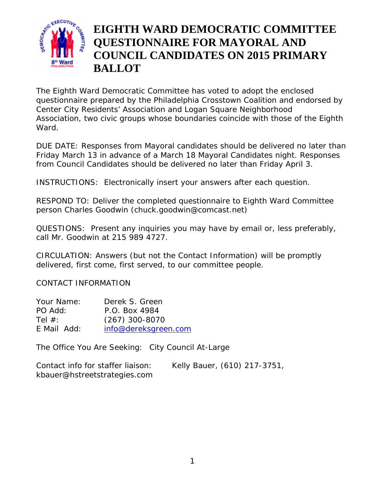

# **EIGHTH WARD DEMOCRATIC COMMITTEE QUESTIONNAIRE FOR MAYORAL AND COUNCIL CANDIDATES ON 2015 PRIMARY BALLOT**

The Eighth Ward Democratic Committee has voted to adopt the enclosed questionnaire prepared by the Philadelphia Crosstown Coalition and endorsed by Center City Residents' Association and Logan Square Neighborhood Association, two civic groups whose boundaries coincide with those of the Eighth Ward.

DUE DATE: *Responses from Mayoral candidates* should be delivered no later than *Friday March 13* in advance of a March 18 Mayoral Candidates night. *Responses from Council* Candidates should be delivered no later than *Friday April 3.*

INSTRUCTIONS: Electronically insert your answers after each question.

RESPOND TO: Deliver the completed questionnaire to Eighth Ward Committee person Charles Goodwin (chuck.goodwin@comcast.net)

QUESTIONS: Present any inquiries you may have by email or, less preferably, call Mr. Goodwin at 215 989 4727.

CIRCULATION: Answers (but not the Contact Information) will be promptly delivered, first come, first served, to our committee people.

CONTACT INFORMATION

| Your Name:  | Derek S. Green       |
|-------------|----------------------|
| PO Add:     | P.O. Box 4984        |
| Tel $#$ :   | $(267)$ 300-8070     |
| E Mail Add: | info@dereksgreen.com |

The Office You Are Seeking: City Council At-Large

| Contact info for staffer liaison: | Kelly Bauer, (610) 217-3751, |
|-----------------------------------|------------------------------|
| kbauer@hstreetstrategies.com      |                              |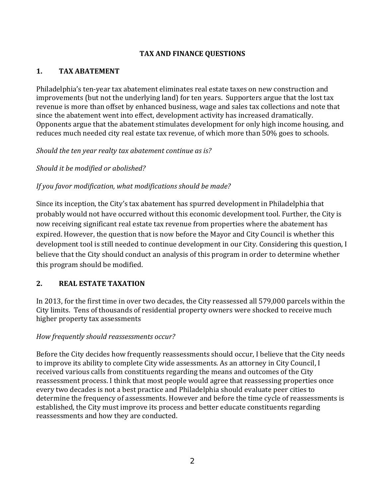### **TAX AND FINANCE QUESTIONS**

#### **1. TAX ABATEMENT**

Philadelphia's ten-year tax abatement eliminates real estate taxes on new construction and improvements (but not the underlying land) for ten years. Supporters argue that the lost tax revenue is more than offset by enhanced business, wage and sales tax collections and note that since the abatement went into effect, development activity has increased dramatically. Opponents argue that the abatement stimulates development for only high income housing, and reduces much needed city real estate tax revenue, of which more than 50% goes to schools.

*Should the ten year realty tax abatement continue as is?*

*Should it be modified or abolished?*

*If you favor modification, what modifications should be made?* 

Since its inception, the City's tax abatement has spurred development in Philadelphia that probably would not have occurred without this economic development tool. Further, the City is now receiving significant real estate tax revenue from properties where the abatement has expired. However, the question that is now before the Mayor and City Council is whether this development tool is still needed to continue development in our City. Considering this question, I believe that the City should conduct an analysis of this program in order to determine whether this program should be modified.

### **2. REAL ESTATE TAXATION**

In 2013, for the first time in over two decades, the City reassessed all 579,000 parcels within the City limits. Tens of thousands of residential property owners were shocked to receive much higher property tax assessments

### *How frequently should reassessments occur?*

Before the City decides how frequently reassessments should occur, I believe that the City needs to improve its ability to complete City wide assessments. As an attorney in City Council, I received various calls from constituents regarding the means and outcomes of the City reassessment process. I think that most people would agree that reassessing properties once every two decades is not a best practice and Philadelphia should evaluate peer cities to determine the frequency of assessments. However and before the time cycle of reassessments is established, the City must improve its process and better educate constituents regarding reassessments and how they are conducted.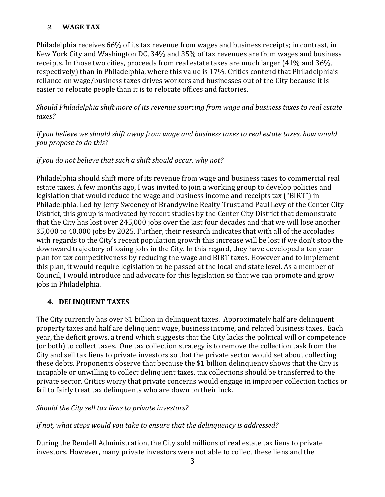# *3.* **WAGE TAX**

Philadelphia receives 66% of its tax revenue from wages and business receipts; in contrast, in New York City and Washington DC, 34% and 35% of tax revenues are from wages and business receipts. In those two cities, proceeds from real estate taxes are much larger (41% and 36%, respectively) than in Philadelphia, where this value is 17%. Critics contend that Philadelphia's reliance on wage/business taxes drives workers and businesses out of the City because it is easier to relocate people than it is to relocate offices and factories.

*Should Philadelphia shift more of its revenue sourcing from wage and business taxes to real estate taxes?* 

*If you believe we should shift away from wage and business taxes to real estate taxes, how would you propose to do this?* 

# *If you do not believe that such a shift should occur, why not?*

Philadelphia should shift more of its revenue from wage and business taxes to commercial real estate taxes. A few months ago, I was invited to join a working group to develop policies and legislation that would reduce the wage and business income and receipts tax ("BIRT") in Philadelphia. Led by Jerry Sweeney of Brandywine Realty Trust and Paul Levy of the Center City District, this group is motivated by recent studies by the Center City District that demonstrate that the City has lost over 245,000 jobs over the last four decades and that we will lose another 35,000 to 40,000 jobs by 2025. Further, their research indicates that with all of the accolades with regards to the City's recent population growth this increase will be lost if we don't stop the downward trajectory of losing jobs in the City. In this regard, they have developed a ten year plan for tax competitiveness by reducing the wage and BIRT taxes. However and to implement this plan, it would require legislation to be passed at the local and state level. As a member of Council, I would introduce and advocate for this legislation so that we can promote and grow jobs in Philadelphia.

# **4. DELINQUENT TAXES**

The City currently has over \$1 billion in delinguent taxes. Approximately half are delinguent property taxes and half are delinquent wage, business income, and related business taxes. Each year, the deficit grows, a trend which suggests that the City lacks the political will or competence (or both) to collect taxes. One tax collection strategy is to remove the collection task from the City and sell tax liens to private investors so that the private sector would set about collecting these debts. Proponents observe that because the \$1 billion delinguency shows that the City is incapable or unwilling to collect delinquent taxes, tax collections should be transferred to the private sector. Critics worry that private concerns would engage in improper collection tactics or fail to fairly treat tax delinquents who are down on their luck.

### *Should the City sell tax liens to private investors?*

### *If not, what steps would you take to ensure that the delinquency is addressed?*

During the Rendell Administration, the City sold millions of real estate tax liens to private investors. However, many private investors were not able to collect these liens and the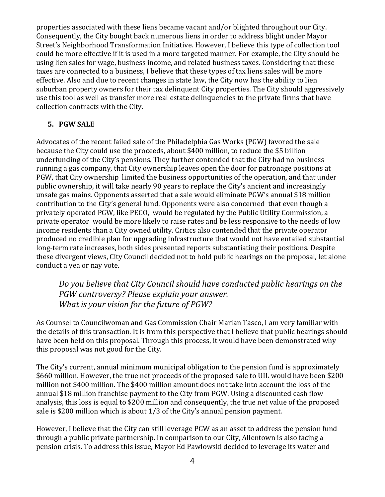properties associated with these liens became vacant and/or blighted throughout our City. Consequently, the City bought back numerous liens in order to address blight under Mayor Street's Neighborhood Transformation Initiative. However, I believe this type of collection tool could be more effective if it is used in a more targeted manner. For example, the City should be using lien sales for wage, business income, and related business taxes. Considering that these taxes are connected to a business, I believe that these types of tax liens sales will be more effective. Also and due to recent changes in state law, the City now has the ability to lien suburban property owners for their tax delinguent City properties. The City should aggressively use this tool as well as transfer more real estate delinguencies to the private firms that have collection contracts with the City.

#### **5. PGW SALE**

Advocates of the recent failed sale of the Philadelphia Gas Works (PGW) favored the sale because the City could use the proceeds, about \$400 million, to reduce the \$5 billion underfunding of the City's pensions. They further contended that the City had no business running a gas company, that City ownership leaves open the door for patronage positions at PGW, that City ownership limited the business opportunities of the operation, and that under public ownership, it will take nearly 90 years to replace the City's ancient and increasingly unsafe gas mains. Opponents asserted that a sale would eliminate PGW's annual \$18 million contribution to the City's general fund. Opponents were also concerned that even though a privately operated PGW, like PECO, would be regulated by the Public Utility Commission, a private operator would be more likely to raise rates and be less responsive to the needs of low income residents than a City owned utility. Critics also contended that the private operator produced no credible plan for upgrading infrastructure that would not have entailed substantial long-term rate increases, both sides presented reports substantiating their positions. Despite these divergent views, City Council decided not to hold public hearings on the proposal, let alone conduct a yea or nay vote.

*Do you believe that City Council should have conducted public hearings on the PGW controversy? Please explain your answer. What is your vision for the future of PGW?* 

As Counsel to Councilwoman and Gas Commission Chair Marian Tasco, I am very familiar with the details of this transaction. It is from this perspective that I believe that public hearings should have been held on this proposal. Through this process, it would have been demonstrated why this proposal was not good for the City.

The City's current, annual minimum municipal obligation to the pension fund is approximately \$660 million. However, the true net proceeds of the proposed sale to UIL would have been \$200 million not \$400 million. The \$400 million amount does not take into account the loss of the annual \$18 million franchise payment to the City from PGW. Using a discounted cash flow analysis, this loss is equal to \$200 million and consequently, the true net value of the proposed sale is \$200 million which is about  $1/3$  of the City's annual pension payment.

However, I believe that the City can still leverage PGW as an asset to address the pension fund through a public private partnership. In comparison to our City, Allentown is also facing a pension crisis. To address this issue, Mayor Ed Pawlowski decided to leverage its water and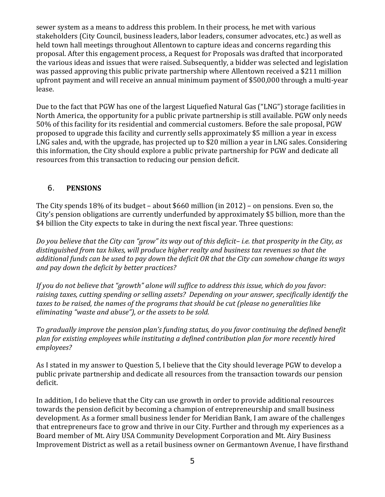sewer system as a means to address this problem. In their process, he met with various stakeholders (City Council, business leaders, labor leaders, consumer advocates, etc.) as well as held town hall meetings throughout Allentown to capture ideas and concerns regarding this proposal. After this engagement process, a Request for Proposals was drafted that incorporated the various ideas and issues that were raised. Subsequently, a bidder was selected and legislation was passed approving this public private partnership where Allentown received a \$211 million upfront payment and will receive an annual minimum payment of \$500,000 through a multi-year lease. 

Due to the fact that PGW has one of the largest Liquefied Natural Gas ("LNG") storage facilities in North America, the opportunity for a public private partnership is still available. PGW only needs 50% of this facility for its residential and commercial customers. Before the sale proposal, PGW proposed to upgrade this facility and currently sells approximately \$5 million a year in excess LNG sales and, with the upgrade, has projected up to \$20 million a year in LNG sales. Considering this information, the City should explore a public private partnership for PGW and dedicate all resources from this transaction to reducing our pension deficit.

# 6. **PENSIONS**

The City spends  $18\%$  of its budget – about \$660 million (in 2012) – on pensions. Even so, the City's pension obligations are currently underfunded by approximately \$5 billion, more than the \$4 billion the City expects to take in during the next fiscal year. Three questions:

Do you believe that the City can "grow" its way out of this deficit-i.e. that prosperity in the City, as *distinguished from tax hikes, will produce higher realty and business tax revenues so that the* additional funds can be used to pay down the deficit OR that the City can somehow change its ways *and pay down the deficit by better practices?*

*If you do not believe that "growth" alone will suffice to address this issue, which do you favor: raising taxes, cutting spending or selling assets? Depending on your answer, specifically identify the taxes to be raised, the names of the programs that should be cut (please no generalities like eliminating "waste and abuse"), or the assets to be sold.*

*To gradually improve the pension plan's funding status, do you favor continuing the defined benefit plan for existing employees while instituting a defined contribution plan for more recently hired employees?*

As I stated in my answer to Question 5, I believe that the City should leverage PGW to develop a public private partnership and dedicate all resources from the transaction towards our pension deficit. 

In addition, I do believe that the City can use growth in order to provide additional resources towards the pension deficit by becoming a champion of entrepreneurship and small business development. As a former small business lender for Meridian Bank, I am aware of the challenges that entrepreneurs face to grow and thrive in our City. Further and through my experiences as a Board member of Mt. Airy USA Community Development Corporation and Mt. Airy Business Improvement District as well as a retail business owner on Germantown Avenue, I have firsthand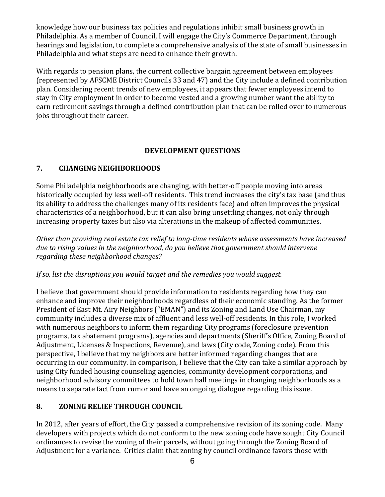knowledge how our business tax policies and regulations inhibit small business growth in Philadelphia. As a member of Council, I will engage the City's Commerce Department, through hearings and legislation, to complete a comprehensive analysis of the state of small businesses in Philadelphia and what steps are need to enhance their growth.

With regards to pension plans, the current collective bargain agreement between employees (represented by AFSCME District Councils 33 and 47) and the City include a defined contribution plan. Considering recent trends of new employees, it appears that fewer employees intend to stay in City employment in order to become vested and a growing number want the ability to earn retirement savings through a defined contribution plan that can be rolled over to numerous jobs throughout their career.

### **DEVELOPMENT QUESTIONS**

# **7. CHANGING NEIGHBORHOODS**

Some Philadelphia neighborhoods are changing, with better-off people moving into areas historically occupied by less well-off residents. This trend increases the city's tax base (and thus its ability to address the challenges many of its residents face) and often improves the physical characteristics of a neighborhood, but it can also bring unsettling changes, not only through increasing property taxes but also via alterations in the makeup of affected communities.

*Other than providing real estate tax relief to long‐time residents whose assessments have increased due to rising values in the neighborhood, do you believe that government should intervene regarding these neighborhood changes?*

*If so, list the disruptions you would target and the remedies you would suggest.* 

I believe that government should provide information to residents regarding how they can enhance and improve their neighborhoods regardless of their economic standing. As the former President of East Mt. Airy Neighbors ("EMAN") and its Zoning and Land Use Chairman, my community includes a diverse mix of affluent and less well-off residents. In this role, I worked with numerous neighbors to inform them regarding City programs (foreclosure prevention programs, tax abatement programs), agencies and departments (Sheriff's Office, Zoning Board of Adjustment, Licenses & Inspections, Revenue), and laws (City code, Zoning code). From this perspective, I believe that my neighbors are better informed regarding changes that are occurring in our community. In comparison, I believe that the City can take a similar approach by using City funded housing counseling agencies, community development corporations, and neighborhood advisory committees to hold town hall meetings in changing neighborhoods as a means to separate fact from rumor and have an ongoing dialogue regarding this issue.

# **8. ZONING RELIEF THROUGH COUNCIL**

In 2012, after years of effort, the City passed a comprehensive revision of its zoning code. Many developers with projects which do not conform to the new zoning code have sought City Council ordinances to revise the zoning of their parcels, without going through the Zoning Board of Adjustment for a variance. Critics claim that zoning by council ordinance favors those with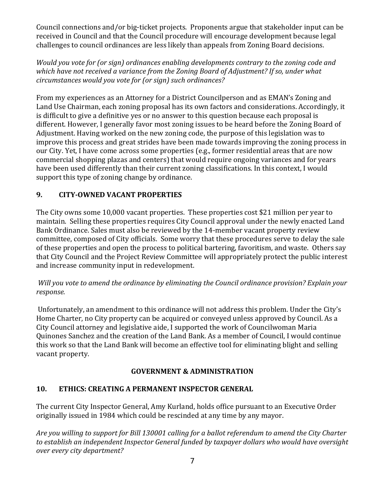Council connections and/or big-ticket projects. Proponents argue that stakeholder input can be received in Council and that the Council procedure will encourage development because legal challenges to council ordinances are less likely than appeals from Zoning Board decisions.

*Would you vote for (or sign) ordinances enabling developments contrary to the zoning code and which have not received a variance from the Zoning Board of Adjustment? If so, under what circumstances would you vote for (or sign) such ordinances?*

From my experiences as an Attorney for a District Councilperson and as EMAN's Zoning and Land Use Chairman, each zoning proposal has its own factors and considerations. Accordingly, it is difficult to give a definitive ves or no answer to this question because each proposal is different. However, I generally favor most zoning issues to be heard before the Zoning Board of Adjustment. Having worked on the new zoning code, the purpose of this legislation was to improve this process and great strides have been made towards improving the zoning process in our City. Yet, I have come across some properties (e.g., former residential areas that are now commercial shopping plazas and centers) that would require ongoing variances and for years have been used differently than their current zoning classifications. In this context, I would support this type of zoning change by ordinance.

# **9. CITY‐OWNED VACANT PROPERTIES**

The City owns some 10,000 vacant properties. These properties cost \$21 million per year to maintain. Selling these properties requires City Council approval under the newly enacted Land Bank Ordinance. Sales must also be reviewed by the 14-member vacant property review committee, composed of City officials. Some worry that these procedures serve to delay the sale of these properties and open the process to political bartering, favoritism, and waste. Others say that City Council and the Project Review Committee will appropriately protect the public interest and increase community input in redevelopment.

# *Will you vote to amend the ordinance by eliminating the Council ordinance provision? Explain your response.*

Unfortunately, an amendment to this ordinance will not address this problem. Under the City's Home Charter, no City property can be acquired or conveyed unless approved by Council. As a City Council attorney and legislative aide, I supported the work of Councilwoman Maria Quinones Sanchez and the creation of the Land Bank. As a member of Council, I would continue this work so that the Land Bank will become an effective tool for eliminating blight and selling vacant property.

# **GOVERNMENT & ADMINISTRATION**

# **10. ETHICS: CREATING A PERMANENT INSPECTOR GENERAL**

The current City Inspector General, Amy Kurland, holds office pursuant to an Executive Order originally issued in 1984 which could be rescinded at any time by any mayor.

Are you willing to support for Bill 130001 calling for a ballot referendum to amend the City Charter *to establish an independent Inspector General funded by taxpayer dollars who would have oversight over every city department?*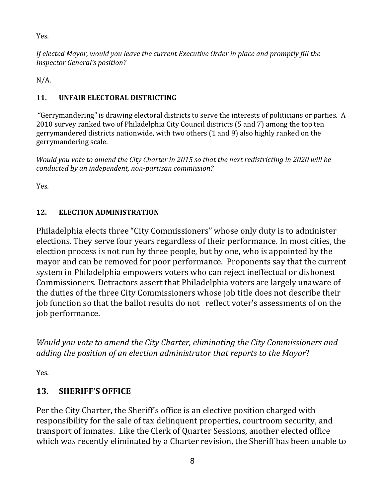Yes. 

*If elected Mayor, would you leave the current Executive Order in place and promptly fill the Inspector General's position?*

 $N/A$ .

# 11. **UNFAIR ELECTORAL DISTRICTING**

"Gerrymandering" is drawing electoral districts to serve the interests of politicians or parties. A 2010 survey ranked two of Philadelphia City Council districts (5 and 7) among the top ten gerrymandered districts nationwide, with two others (1 and 9) also highly ranked on the gerrymandering scale.

Would you vote to amend the City Charter in 2015 so that the next redistricting in 2020 will be *conducted by an independent, non‐partisan commission?* 

Yes. 

# 12. **ELECTION ADMINISTRATION**

Philadelphia elects three "City Commissioners" whose only duty is to administer elections. They serve four years regardless of their performance. In most cities, the election process is not run by three people, but by one, who is appointed by the mayor and can be removed for poor performance. Proponents say that the current system in Philadelphia empowers voters who can reject ineffectual or dishonest Commissioners. Detractors assert that Philadelphia voters are largely unaware of the duties of the three City Commissioners whose job title does not describe their job function so that the ballot results do not reflect voter's assessments of on the job performance.

*Would you vote to amend the City Charter, eliminating the City Commissioners and adding the position of an election administrator that reports to the Mayor*? 

Yes. 

# 13. **SHERIFF'S OFFICE**

Per the City Charter, the Sheriff's office is an elective position charged with responsibility for the sale of tax delinquent properties, courtroom security, and transport of inmates. Like the Clerk of Quarter Sessions, another elected office which was recently eliminated by a Charter revision, the Sheriff has been unable to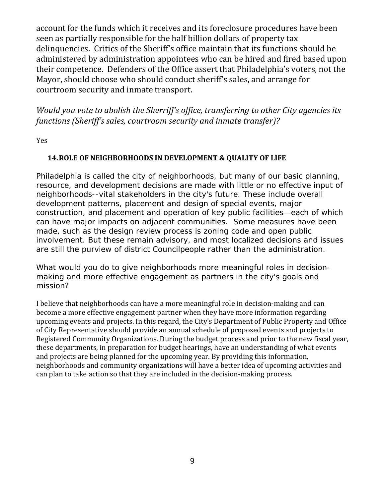account for the funds which it receives and its foreclosure procedures have been seen as partially responsible for the half billion dollars of property tax delinquencies. Critics of the Sheriff's office maintain that its functions should be administered by administration appointees who can be hired and fired based upon their competence. Defenders of the Office assert that Philadelphia's voters, not the Mayor, should choose who should conduct sheriff's sales, and arrange for courtroom security and inmate transport.

*Would you vote to abolish the Sherriff's office, transferring to other City agencies its functions (Sheriff's sales, courtroom security and inmate transfer)?* 

Yes 

### **14.ROLE OF NEIGHBORHOODS IN DEVELOPMENT & QUALITY OF LIFE**

Philadelphia is called the city of neighborhoods, but many of our basic planning, resource, and development decisions are made with little or no effective input of neighborhoods--vital stakeholders in the city's future. These include overall development patterns, placement and design of special events, major construction, and placement and operation of key public facilities—each of which can have major impacts on adjacent communities. Some measures have been made, such as the design review process is zoning code and open public involvement. But these remain advisory, and most localized decisions and issues are still the purview of district Councilpeople rather than the administration.

*What would you do to give neighborhoods more meaningful roles in decisionmaking and more effective engagement as partners in the city's goals and mission?* 

I believe that neighborhoods can have a more meaningful role in decision-making and can become a more effective engagement partner when they have more information regarding upcoming events and projects. In this regard, the City's Department of Public Property and Office of City Representative should provide an annual schedule of proposed events and projects to Registered Community Organizations. During the budget process and prior to the new fiscal year, these departments, in preparation for budget hearings, have an understanding of what events and projects are being planned for the upcoming year. By providing this information, neighborhoods and community organizations will have a better idea of upcoming activities and can plan to take action so that they are included in the decision-making process.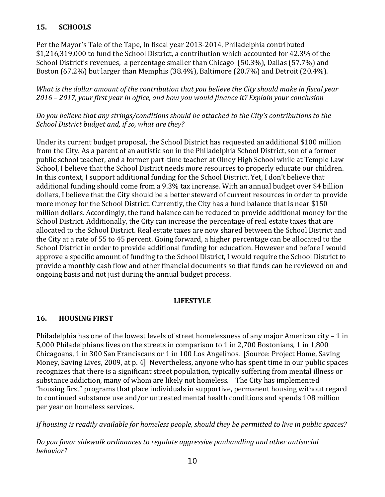# **15. SCHOOLS**

Per the Mayor's Tale of the Tape, In fiscal year 2013-2014, Philadelphia contributed \$1,216,319,000 to fund the School District, a contribution which accounted for 42.3% of the School District's revenues, a percentage smaller than Chicago (50.3%), Dallas (57.7%) and Boston  $(67.2\%)$  but larger than Memphis  $(38.4\%)$ , Baltimore  $(20.7\%)$  and Detroit  $(20.4\%)$ .

*What is the dollar amount of the contribution that you believe the City should make in fiscal year 2016 – 2017, your first year in office, and how you would finance it? Explain your conclusion*

*Do you believe that any strings/conditions should be attached to the City's contributions to the School District budget and, if so, what are they?*

Under its current budget proposal, the School District has requested an additional \$100 million from the City. As a parent of an autistic son in the Philadelphia School District, son of a former public school teacher, and a former part-time teacher at Olney High School while at Temple Law School, I believe that the School District needs more resources to properly educate our children. In this context, I support additional funding for the School District. Yet, I don't believe that additional funding should come from a 9.3% tax increase. With an annual budget over \$4 billion dollars, I believe that the City should be a better steward of current resources in order to provide more money for the School District. Currently, the City has a fund balance that is near \$150 million dollars. Accordingly, the fund balance can be reduced to provide additional money for the School District. Additionally, the City can increase the percentage of real estate taxes that are allocated to the School District. Real estate taxes are now shared between the School District and the City at a rate of 55 to 45 percent. Going forward, a higher percentage can be allocated to the School District in order to provide additional funding for education. However and before I would approve a specific amount of funding to the School District, I would require the School District to provide a monthly cash flow and other financial documents so that funds can be reviewed on and ongoing basis and not just during the annual budget process.

### **LIFESTYLE**

### **16. HOUSING FIRST**

Philadelphia has one of the lowest levels of street homelessness of any major American city – 1 in 5,000 Philadelphians lives on the streets in comparison to 1 in 2,700 Bostonians, 1 in 1,800 Chicagoans, 1 in 300 San Franciscans or 1 in 100 Los Angelinos. [Source: Project Home, Saving Money, Saving Lives, 2009, at p. 4] Nevertheless, anyone who has spent time in our public spaces recognizes that there is a significant street population, typically suffering from mental illness or substance addiction, many of whom are likely not homeless. The City has implemented "housing first" programs that place individuals in supportive, permanent housing without regard to continued substance use and/or untreated mental health conditions and spends 108 million per year on homeless services.

If housing is readily available for homeless people, should they be permitted to live in public spaces?

*Do you favor sidewalk ordinances to regulate aggressive panhandling and other antisocial behavior?*